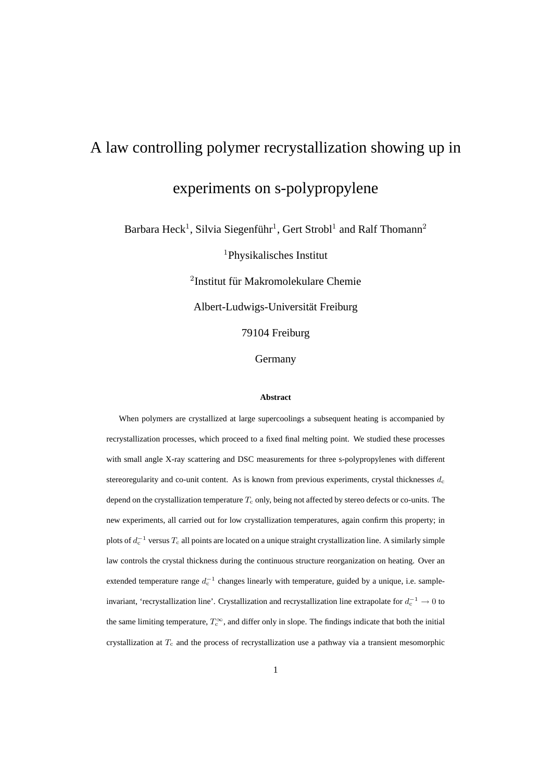# A law controlling polymer recrystallization showing up in experiments on s-polypropylene

Barbara Heck<sup>1</sup>, Silvia Siegenführ<sup>1</sup>, Gert Strobl<sup>1</sup> and Ralf Thomann<sup>2</sup>

<sup>1</sup>Physikalisches Institut

<sup>2</sup>Institut für Makromolekulare Chemie Albert-Ludwigs-Universität Freiburg

79104 Freiburg

Germany

#### **Abstract**

When polymers are crystallized at large supercoolings a subsequent heating is accompanied by recrystallization processes, which proceed to a fixed final melting point. We studied these processes with small angle X-ray scattering and DSC measurements for three s-polypropylenes with different stereoregularity and co-unit content. As is known from previous experiments, crystal thicknesses  $d_c$ depend on the crystallization temperature  $T_c$  only, being not affected by stereo defects or co-units. The new experiments, all carried out for low crystallization temperatures, again confirm this property; in plots of  $d_c^{-1}$  versus  $T_c$  all points are located on a unique straight crystallization line. A similarly simple law controls the crystal thickness during the continuous structure reorganization on heating. Over an extended temperature range  $d_c^{-1}$  changes linearly with temperature, guided by a unique, i.e. sampleinvariant, 'recrystallization line'. Crystallization and recrystallization line extrapolate for  $d_c^{-1} \to 0$  to the same limiting temperature,  $T_c^{\infty}$ , and differ only in slope. The findings indicate that both the initial crystallization at  $T_c$  and the process of recrystallization use a pathway via a transient mesomorphic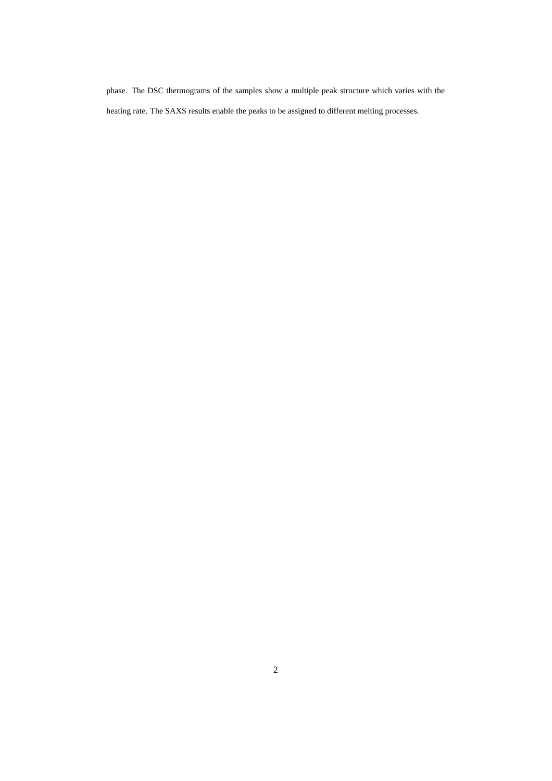phase. The DSC thermograms of the samples show a multiple peak structure which varies with the heating rate. The SAXS results enable the peaks to be assigned to different melting processes.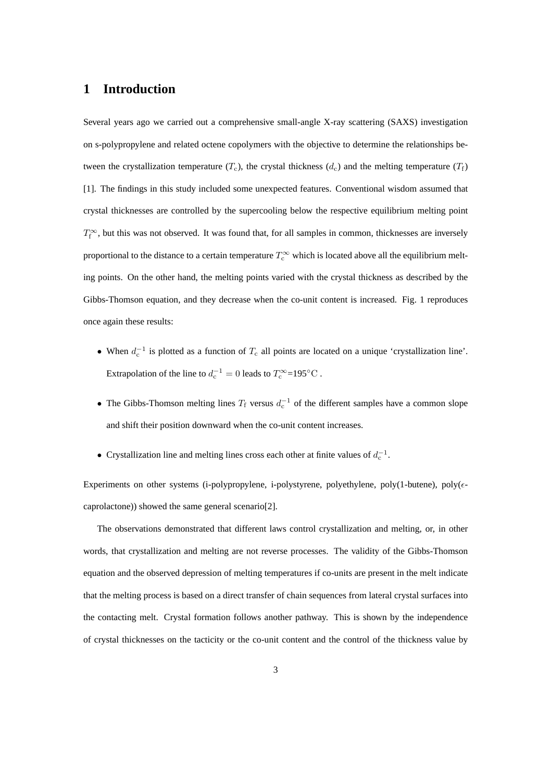# **1 Introduction**

Several years ago we carried out a comprehensive small-angle X-ray scattering (SAXS) investigation on s-polypropylene and related octene copolymers with the objective to determine the relationships between the crystallization temperature  $(T_c)$ , the crystal thickness  $(d_c)$  and the melting temperature  $(T_f)$ [1]. The findings in this study included some unexpected features. Conventional wisdom assumed that crystal thicknesses are controlled by the supercooling below the respective equilibrium melting point  $T_f^{\infty}$ , but this was not observed. It was found that, for all samples in common, thicknesses are inversely proportional to the distance to a certain temperature  $T_c^{\infty}$  which is located above all the equilibrium melting points. On the other hand, the melting points varied with the crystal thickness as described by the Gibbs-Thomson equation, and they decrease when the co-unit content is increased. Fig. 1 reproduces once again these results:

- When  $d_c^{-1}$  is plotted as a function of  $T_c$  all points are located on a unique 'crystallization line'. Extrapolation of the line to  $d_c^{-1} = 0$  leads to  $T_c^{\infty} = 195^{\circ}$ C.
- The Gibbs-Thomson melting lines  $T_f$  versus  $d_c^{-1}$  of the different samples have a common slope and shift their position downward when the co-unit content increases.
- Crystallization line and melting lines cross each other at finite values of  $d_c^{-1}$ .

Experiments on other systems (i-polypropylene, i-polystyrene, polyethylene, poly(1-butene), poly( $\epsilon$ caprolactone)) showed the same general scenario[2].

The observations demonstrated that different laws control crystallization and melting, or, in other words, that crystallization and melting are not reverse processes. The validity of the Gibbs-Thomson equation and the observed depression of melting temperatures if co-units are present in the melt indicate that the melting process is based on a direct transfer of chain sequences from lateral crystal surfaces into the contacting melt. Crystal formation follows another pathway. This is shown by the independence of crystal thicknesses on the tacticity or the co-unit content and the control of the thickness value by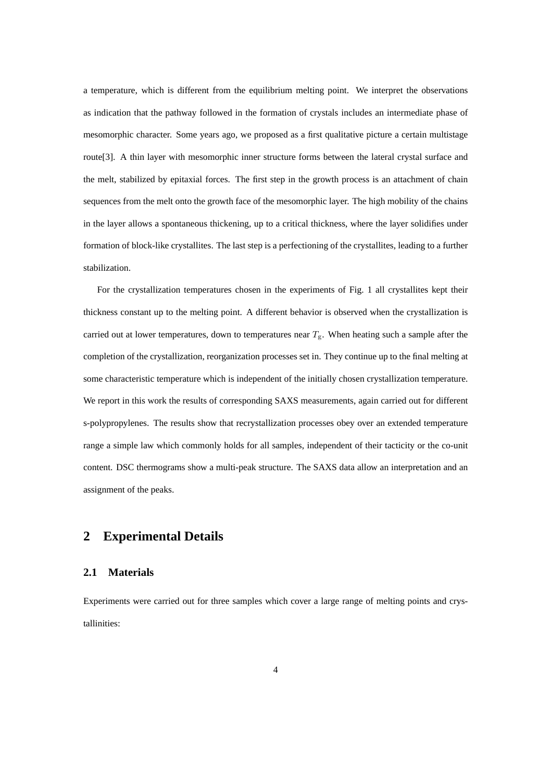a temperature, which is different from the equilibrium melting point. We interpret the observations as indication that the pathway followed in the formation of crystals includes an intermediate phase of mesomorphic character. Some years ago, we proposed as a first qualitative picture a certain multistage route[3]. A thin layer with mesomorphic inner structure forms between the lateral crystal surface and the melt, stabilized by epitaxial forces. The first step in the growth process is an attachment of chain sequences from the melt onto the growth face of the mesomorphic layer. The high mobility of the chains in the layer allows a spontaneous thickening, up to a critical thickness, where the layer solidifies under formation of block-like crystallites. The last step is a perfectioning of the crystallites, leading to a further stabilization.

For the crystallization temperatures chosen in the experiments of Fig. 1 all crystallites kept their thickness constant up to the melting point. A different behavior is observed when the crystallization is carried out at lower temperatures, down to temperatures near  $T_{\rm g}$ . When heating such a sample after the completion of the crystallization, reorganization processes set in. They continue up to the final melting at some characteristic temperature which is independent of the initially chosen crystallization temperature. We report in this work the results of corresponding SAXS measurements, again carried out for different s-polypropylenes. The results show that recrystallization processes obey over an extended temperature range a simple law which commonly holds for all samples, independent of their tacticity or the co-unit content. DSC thermograms show a multi-peak structure. The SAXS data allow an interpretation and an assignment of the peaks.

# **2 Experimental Details**

### **2.1 Materials**

Experiments were carried out for three samples which cover a large range of melting points and crystallinities: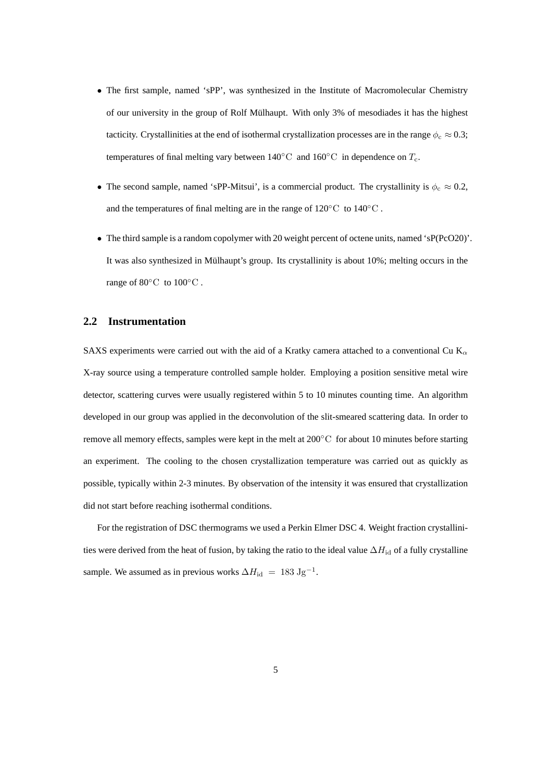- The first sample, named 'sPP', was synthesized in the Institute of Macromolecular Chemistry of our university in the group of Rolf Mulhaupt. With only 3% of mesodiades it has the highest ¨ tacticity. Crystallinities at the end of isothermal crystallization processes are in the range  $\phi_c \approx 0.3$ ; temperatures of final melting vary between  $140\degree C$  and  $160\degree C$  in dependence on  $T_c$ .
- The second sample, named 'sPP-Mitsui', is a commercial product. The crystallinity is  $\phi_c \approx 0.2$ , and the temperatures of final melting are in the range of  $120\degree\text{C}$  to  $140\degree\text{C}$ .
- The third sample is a random copolymer with 20 weight percent of octene units, named 'sP(PcO20)'. It was also synthesized in Mülhaupt's group. Its crystallinity is about  $10\%$ ; melting occurs in the range of 80◦C to 100◦C .

#### **2.2 Instrumentation**

SAXS experiments were carried out with the aid of a Kratky camera attached to a conventional Cu  $K_{\alpha}$ X-ray source using a temperature controlled sample holder. Employing a position sensitive metal wire detector, scattering curves were usually registered within 5 to 10 minutes counting time. An algorithm developed in our group was applied in the deconvolution of the slit-smeared scattering data. In order to remove all memory effects, samples were kept in the melt at 200°C for about 10 minutes before starting an experiment. The cooling to the chosen crystallization temperature was carried out as quickly as possible, typically within 2-3 minutes. By observation of the intensity it was ensured that crystallization did not start before reaching isothermal conditions.

For the registration of DSC thermograms we used a Perkin Elmer DSC 4. Weight fraction crystallinities were derived from the heat of fusion, by taking the ratio to the ideal value  $\Delta H_{\rm id}$  of a fully crystalline sample. We assumed as in previous works  $\Delta H_{\rm id} = 183 \text{ Jg}^{-1}$ .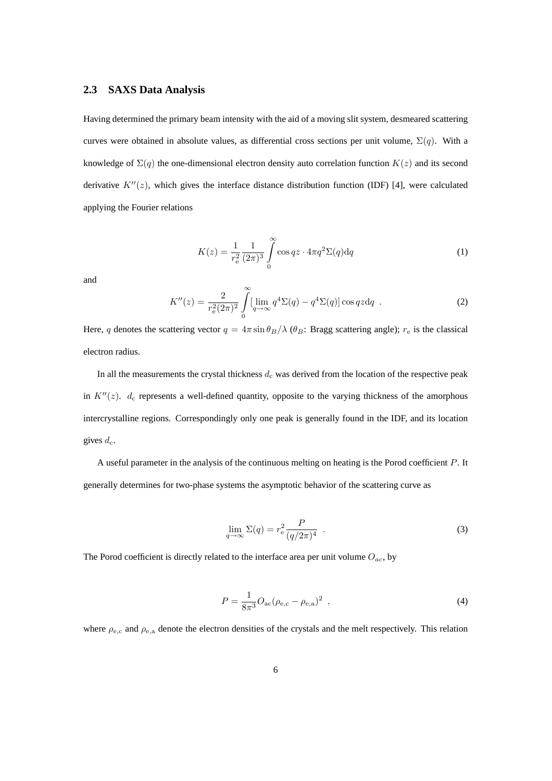## **2.3 SAXS Data Analysis**

Having determined the primary beam intensity with the aid of a moving slit system, desmeared scattering curves were obtained in absolute values, as differential cross sections per unit volume,  $\Sigma(q)$ . With a knowledge of  $\Sigma(q)$  the one-dimensional electron density auto correlation function  $K(z)$  and its second derivative  $K''(z)$ , which gives the interface distance distribution function (IDF) [4], were calculated applying the Fourier relations

$$
K(z) = \frac{1}{r_e^2} \frac{1}{(2\pi)^3} \int_{0}^{\infty} \cos qz \cdot 4\pi q^2 \Sigma(q) dq
$$
 (1)

and

$$
K''(z) = \frac{2}{r_e^2 (2\pi)^2} \int\limits_0^\infty \left[\lim_{q \to \infty} q^4 \Sigma(q) - q^4 \Sigma(q)\right] \cos qz dq \quad . \tag{2}
$$

Here, q denotes the scattering vector  $q = 4\pi \sin \theta_B / \lambda$  ( $\theta_B$ : Bragg scattering angle);  $r_e$  is the classical electron radius.

In all the measurements the crystal thickness  $d_c$  was derived from the location of the respective peak in  $K''(z)$ .  $d_c$  represents a well-defined quantity, opposite to the varying thickness of the amorphous intercrystalline regions. Correspondingly only one peak is generally found in the IDF, and its location gives  $d_c$ .

A useful parameter in the analysis of the continuous melting on heating is the Porod coefficient P. It generally determines for two-phase systems the asymptotic behavior of the scattering curve as

$$
\lim_{q \to \infty} \Sigma(q) = r_{\text{e}}^2 \frac{P}{(q/2\pi)^4} \quad . \tag{3}
$$

The Porod coefficient is directly related to the interface area per unit volume  $O_{ac}$ , by

$$
P = \frac{1}{8\pi^3} O_{ac} (\rho_{e,c} - \rho_{e,a})^2 \tag{4}
$$

where  $\rho_{\rm e,c}$  and  $\rho_{\rm e,a}$  denote the electron densities of the crystals and the melt respectively. This relation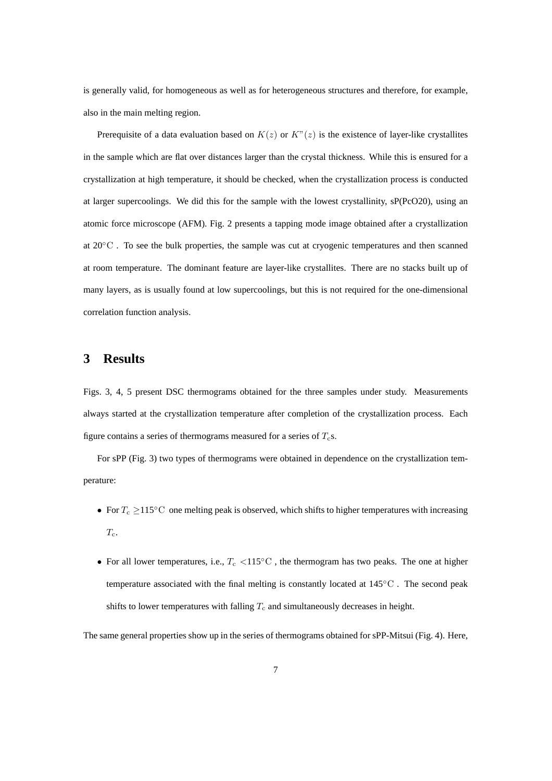is generally valid, for homogeneous as well as for heterogeneous structures and therefore, for example, also in the main melting region.

Prerequisite of a data evaluation based on  $K(z)$  or  $K''(z)$  is the existence of layer-like crystallites in the sample which are flat over distances larger than the crystal thickness. While this is ensured for a crystallization at high temperature, it should be checked, when the crystallization process is conducted at larger supercoolings. We did this for the sample with the lowest crystallinity, sP(PcO20), using an atomic force microscope (AFM). Fig. 2 presents a tapping mode image obtained after a crystallization at 20◦C . To see the bulk properties, the sample was cut at cryogenic temperatures and then scanned at room temperature. The dominant feature are layer-like crystallites. There are no stacks built up of many layers, as is usually found at low supercoolings, but this is not required for the one-dimensional correlation function analysis.

# **3 Results**

Figs. 3, 4, 5 present DSC thermograms obtained for the three samples under study. Measurements always started at the crystallization temperature after completion of the crystallization process. Each figure contains a series of thermograms measured for a series of  $T_c$ s.

For sPP (Fig. 3) two types of thermograms were obtained in dependence on the crystallization temperature:

- For  $T_c \geq 115^{\circ}\text{C}$  one melting peak is observed, which shifts to higher temperatures with increasing  $T_{\rm c}$ .
- For all lower temperatures, i.e.,  $T_c < 115\degree C$  , the thermogram has two peaks. The one at higher temperature associated with the final melting is constantly located at  $145\degree C$ . The second peak shifts to lower temperatures with falling  $T_c$  and simultaneously decreases in height.

The same general properties show up in the series of thermograms obtained for sPP-Mitsui (Fig. 4). Here,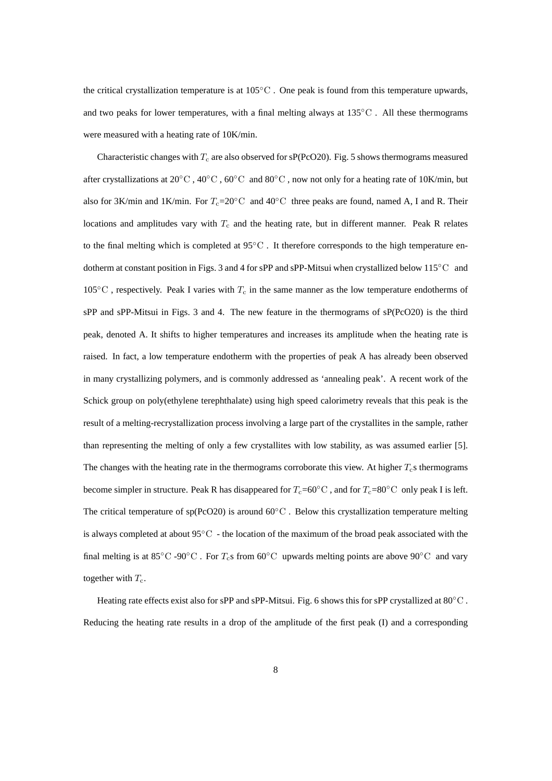the critical crystallization temperature is at  $105^{\circ}$ C. One peak is found from this temperature upwards, and two peaks for lower temperatures, with a final melting always at  $135\degree$ C. All these thermograms were measured with a heating rate of 10K/min.

Characteristic changes with  $T_c$  are also observed for sP(PcO20). Fig. 5 shows thermograms measured after crystallizations at 20◦C , 40◦C , 60◦C and 80◦C , now not only for a heating rate of 10K/min, but also for 3K/min and 1K/min. For  $T_c=20\degree$ C and 40<sup>°</sup>C three peaks are found, named A, I and R. Their locations and amplitudes vary with  $T_c$  and the heating rate, but in different manner. Peak R relates to the final melting which is completed at 95℃. It therefore corresponds to the high temperature endotherm at constant position in Figs. 3 and 4 for sPP and sPP-Mitsui when crystallized below 115◦C and  $105\textdegree C$ , respectively. Peak I varies with  $T_c$  in the same manner as the low temperature endotherms of sPP and sPP-Mitsui in Figs. 3 and 4. The new feature in the thermograms of sP(PcO20) is the third peak, denoted A. It shifts to higher temperatures and increases its amplitude when the heating rate is raised. In fact, a low temperature endotherm with the properties of peak A has already been observed in many crystallizing polymers, and is commonly addressed as 'annealing peak'. A recent work of the Schick group on poly(ethylene terephthalate) using high speed calorimetry reveals that this peak is the result of a melting-recrystallization process involving a large part of the crystallites in the sample, rather than representing the melting of only a few crystallites with low stability, as was assumed earlier [5]. The changes with the heating rate in the thermograms corroborate this view. At higher  $T_c$ s thermograms become simpler in structure. Peak R has disappeared for  $T_c=60^\circ \text{C}$ , and for  $T_c=80^\circ \text{C}$  only peak I is left. The critical temperature of sp(PcO20) is around  $60^{\circ}$ C. Below this crystallization temperature melting is always completed at about  $95^{\circ}$ C - the location of the maximum of the broad peak associated with the final melting is at 85°C -90°C. For  $T_c$ s from 60°C upwards melting points are above 90°C and vary together with  $T_c$ .

Heating rate effects exist also for sPP and sPP-Mitsui. Fig. 6 shows this for sPP crystallized at 80<sup>°</sup>C. Reducing the heating rate results in a drop of the amplitude of the first peak (I) and a corresponding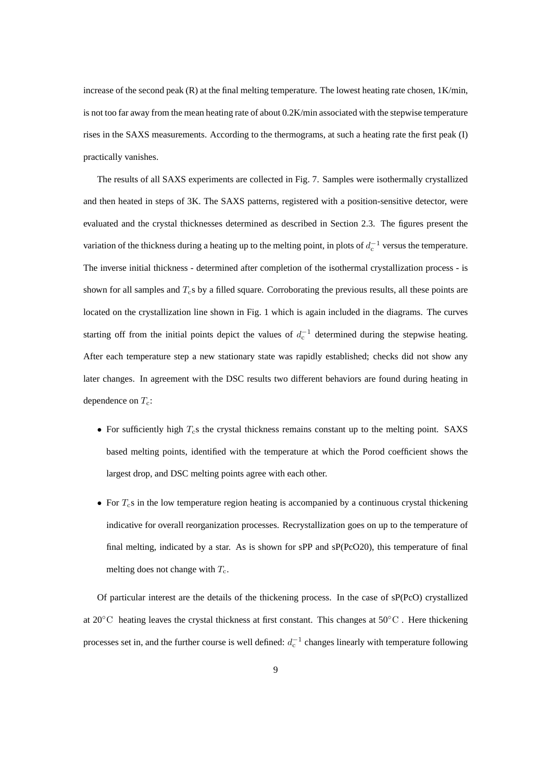increase of the second peak  $(R)$  at the final melting temperature. The lowest heating rate chosen,  $1K/min$ , is not too far away from the mean heating rate of about 0.2K/min associated with the stepwise temperature rises in the SAXS measurements. According to the thermograms, at such a heating rate the first peak (I) practically vanishes.

The results of all SAXS experiments are collected in Fig. 7. Samples were isothermally crystallized and then heated in steps of 3K. The SAXS patterns, registered with a position-sensitive detector, were evaluated and the crystal thicknesses determined as described in Section 2.3. The figures present the variation of the thickness during a heating up to the melting point, in plots of  $d_c^{-1}$  versus the temperature. The inverse initial thickness - determined after completion of the isothermal crystallization process - is shown for all samples and  $T<sub>c</sub>$ s by a filled square. Corroborating the previous results, all these points are located on the crystallization line shown in Fig. 1 which is again included in the diagrams. The curves starting off from the initial points depict the values of  $d_c^{-1}$  determined during the stepwise heating. After each temperature step a new stationary state was rapidly established; checks did not show any later changes. In agreement with the DSC results two different behaviors are found during heating in dependence on  $T_c$ :

- For sufficiently high  $T_c$ s the crystal thickness remains constant up to the melting point. SAXS based melting points, identified with the temperature at which the Porod coefficient shows the largest drop, and DSC melting points agree with each other.
- For  $T_c$ s in the low temperature region heating is accompanied by a continuous crystal thickening indicative for overall reorganization processes. Recrystallization goes on up to the temperature of final melting, indicated by a star. As is shown for sPP and sP(PcO20), this temperature of final melting does not change with  $T_c$ .

Of particular interest are the details of the thickening process. In the case of sP(PcO) crystallized at 20◦C heating leaves the crystal thickness at first constant. This changes at 50◦C . Here thickening processes set in, and the further course is well defined:  $d_c^{-1}$  changes linearly with temperature following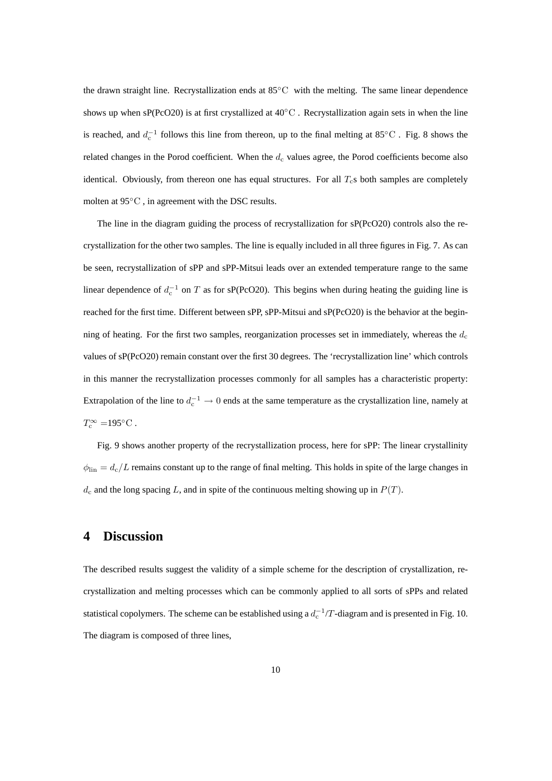the drawn straight line. Recrystallization ends at 85◦C with the melting. The same linear dependence shows up when sP(PcO20) is at first crystallized at 40<sup>°</sup>C. Recrystallization again sets in when the line is reached, and  $d_c^{-1}$  follows this line from thereon, up to the final melting at 85°C. Fig. 8 shows the related changes in the Porod coefficient. When the  $d_c$  values agree, the Porod coefficients become also identical. Obviously, from thereon one has equal structures. For all  $T_c$ s both samples are completely molten at 95◦C , in agreement with the DSC results.

The line in the diagram guiding the process of recrystallization for sP(PcO20) controls also the recrystallization for the other two samples. The line is equally included in all three figures in Fig. 7. As can be seen, recrystallization of sPP and sPP-Mitsui leads over an extended temperature range to the same linear dependence of  $d_c^{-1}$  on T as for sP(PcO20). This begins when during heating the guiding line is reached for the first time. Different between sPP, sPP-Mitsui and sP(PcO20) is the behavior at the beginning of heating. For the first two samples, reorganization processes set in immediately, whereas the  $d_c$ values of sP(PcO20) remain constant over the first 30 degrees. The 'recrystallization line' which controls in this manner the recrystallization processes commonly for all samples has a characteristic property: Extrapolation of the line to  $d_c^{-1} \to 0$  ends at the same temperature as the crystallization line, namely at  $T_c^{\infty} = 195$ °C.

Fig. 9 shows another property of the recrystallization process, here for sPP: The linear crystallinity  $\phi_{\text{lin}} = d_c/L$  remains constant up to the range of final melting. This holds in spite of the large changes in  $d_c$  and the long spacing L, and in spite of the continuous melting showing up in  $P(T)$ .

# **4 Discussion**

The described results suggest the validity of a simple scheme for the description of crystallization, recrystallization and melting processes which can be commonly applied to all sorts of sPPs and related statistical copolymers. The scheme can be established using a  $d_c^{-1}/T$ -diagram and is presented in Fig. 10. The diagram is composed of three lines,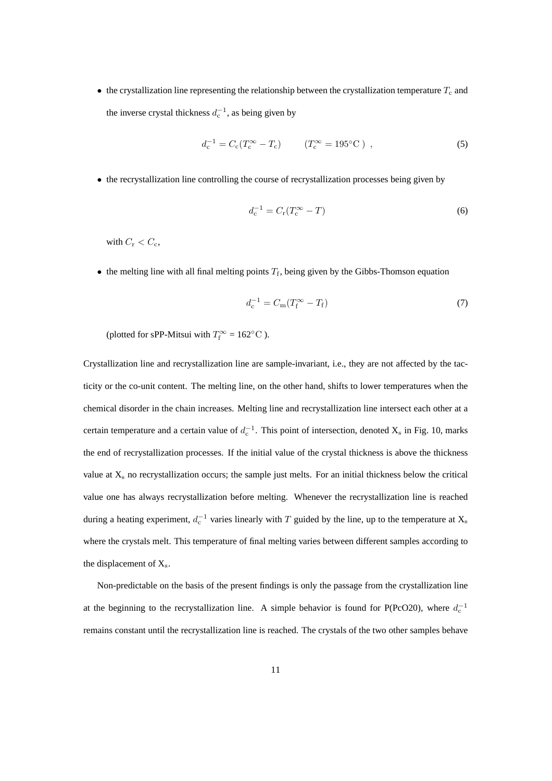• the crystallization line representing the relationship between the crystallization temperature  $T_c$  and the inverse crystal thickness  $d_c^{-1}$ , as being given by

$$
d_{\rm c}^{-1} = C_{\rm c}(T_{\rm c}^{\infty} - T_{\rm c}) \qquad (T_{\rm c}^{\infty} = 195^{\circ} \text{C}) \tag{5}
$$

• the recrystallization line controlling the course of recrystallization processes being given by

$$
d_{\rm c}^{-1} = C_{\rm r}(T_{\rm c}^{\infty} - T) \tag{6}
$$

with  $C_r < C_c$ ,

• the melting line with all final melting points  $T_f$ , being given by the Gibbs-Thomson equation

$$
d_{\rm c}^{-1} = C_{\rm m}(T_{\rm f}^{\infty} - T_{\rm f})\tag{7}
$$

(plotted for sPP-Mitsui with  $T_f^{\infty} = 162^{\circ}\text{C}$ ).

Crystallization line and recrystallization line are sample-invariant, i.e., they are not affected by the tacticity or the co-unit content. The melting line, on the other hand, shifts to lower temperatures when the chemical disorder in the chain increases. Melting line and recrystallization line intersect each other at a certain temperature and a certain value of  $d_c^{-1}$ . This point of intersection, denoted  $X_s$  in Fig. 10, marks the end of recrystallization processes. If the initial value of the crystal thickness is above the thickness value at  $X_s$  no recrystallization occurs; the sample just melts. For an initial thickness below the critical value one has always recrystallization before melting. Whenever the recrystallization line is reached during a heating experiment,  $d_c^{-1}$  varies linearly with T guided by the line, up to the temperature at  $X_s$ where the crystals melt. This temperature of final melting varies between different samples according to the displacement of  $X_s$ .

Non-predictable on the basis of the present findings is only the passage from the crystallization line at the beginning to the recrystallization line. A simple behavior is found for P(PcO20), where  $d_c^{-1}$ remains constant until the recrystallization line is reached. The crystals of the two other samples behave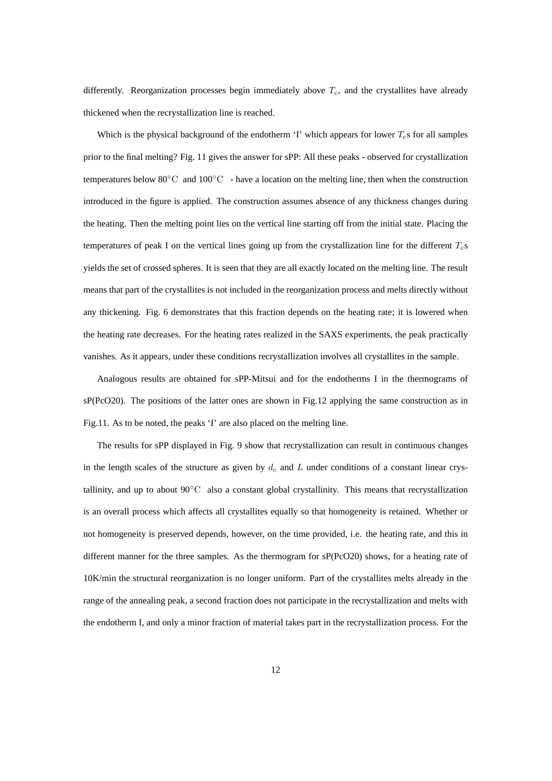differently. Reorganization processes begin immediately above  $T_c$ , and the crystallites have already thickened when the recrystallization line is reached.

Which is the physical background of the endotherm 'I' which appears for lower  $T_c$ s for all samples prior to the final melting? Fig. 11 gives the answer for sPP: All these peaks - observed for crystallization temperatures below 80 $\degree$ C and 100 $\degree$ C - have a location on the melting line, then when the construction introduced in the figure is applied. The construction assumes absence of any thickness changes during the heating. Then the melting point lies on the vertical line starting off from the initial state. Placing the temperatures of peak I on the vertical lines going up from the crystallization line for the different  $T_c$ s yields the set of crossed spheres. It is seen that they are all exactly located on the melting line. The result means that part of the crystallites is not included in the reorganization process and melts directly without any thickening. Fig. 6 demonstrates that this fraction depends on the heating rate; it is lowered when the heating rate decreases. For the heating rates realized in the SAXS experiments, the peak practically vanishes. As it appears, under these conditions recrystallization involves all crystallites in the sample.

Analogous results are obtained for sPP-Mitsui and for the endotherms I in the thermograms of sP(PcO20). The positions of the latter ones are shown in Fig.12 applying the same construction as in Fig.11. As to be noted, the peaks 'I' are also placed on the melting line.

The results for sPP displayed in Fig. 9 show that recrystallization can result in continuous changes in the length scales of the structure as given by  $d_c$  and L under conditions of a constant linear crystallinity, and up to about 90◦C also a constant global crystallinity. This means that recrystallization is an overall process which affects all crystallites equally so that homogeneity is retained. Whether or not homogeneity is preserved depends, however, on the time provided, i.e. the heating rate, and this in different manner for the three samples. As the thermogram for sP(PcO20) shows, for a heating rate of 10K/min the structural reorganization is no longer uniform. Part of the crystallites melts already in the range of the annealing peak, a second fraction does not participate in the recrystallization and melts with the endotherm I, and only a minor fraction of material takes part in the recrystallization process. For the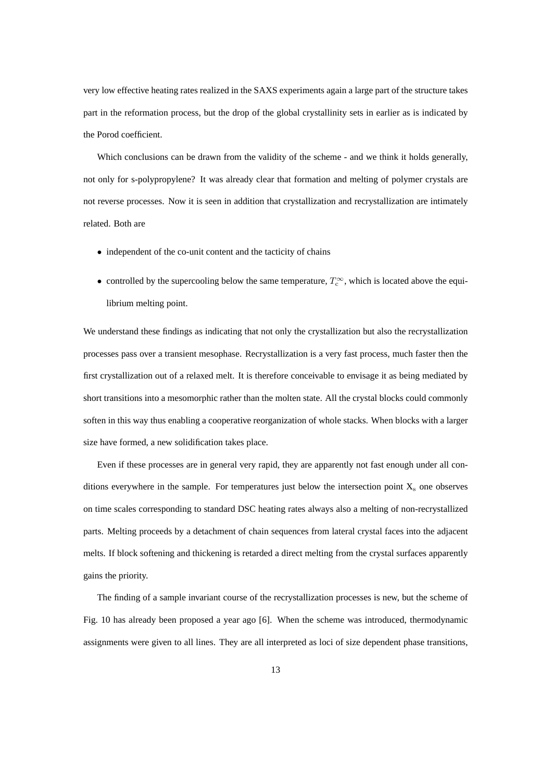very low effective heating rates realized in the SAXS experiments again a large part of the structure takes part in the reformation process, but the drop of the global crystallinity sets in earlier as is indicated by the Porod coefficient.

Which conclusions can be drawn from the validity of the scheme - and we think it holds generally, not only for s-polypropylene? It was already clear that formation and melting of polymer crystals are not reverse processes. Now it is seen in addition that crystallization and recrystallization are intimately related. Both are

- independent of the co-unit content and the tacticity of chains
- controlled by the supercooling below the same temperature,  $T_c^{\infty}$ , which is located above the equilibrium melting point.

We understand these findings as indicating that not only the crystallization but also the recrystallization processes pass over a transient mesophase. Recrystallization is a very fast process, much faster then the first crystallization out of a relaxed melt. It is therefore conceivable to envisage it as being mediated by short transitions into a mesomorphic rather than the molten state. All the crystal blocks could commonly soften in this way thus enabling a cooperative reorganization of whole stacks. When blocks with a larger size have formed, a new solidification takes place.

Even if these processes are in general very rapid, they are apparently not fast enough under all conditions everywhere in the sample. For temperatures just below the intersection point  $X_s$  one observes on time scales corresponding to standard DSC heating rates always also a melting of non-recrystallized parts. Melting proceeds by a detachment of chain sequences from lateral crystal faces into the adjacent melts. If block softening and thickening is retarded a direct melting from the crystal surfaces apparently gains the priority.

The finding of a sample invariant course of the recrystallization processes is new, but the scheme of Fig. 10 has already been proposed a year ago [6]. When the scheme was introduced, thermodynamic assignments were given to all lines. They are all interpreted as loci of size dependent phase transitions,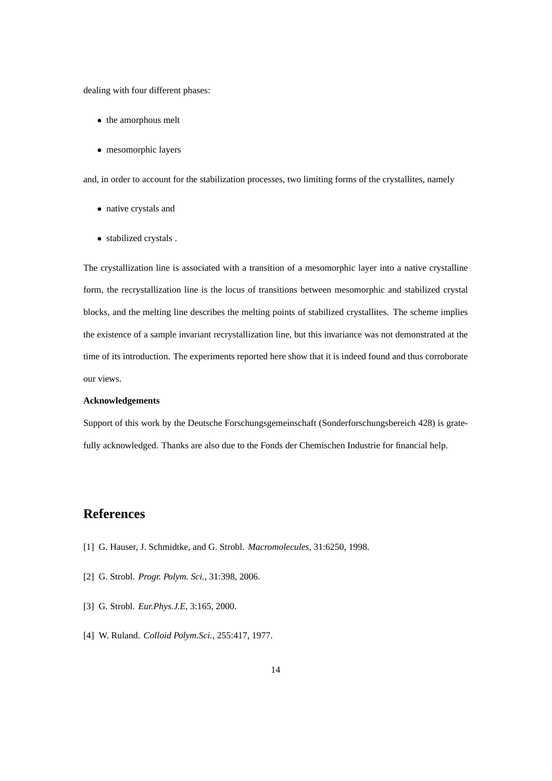dealing with four different phases:

- the amorphous melt
- mesomorphic layers

and, in order to account for the stabilization processes, two limiting forms of the crystallites, namely

- native crystals and
- stabilized crystals .

The crystallization line is associated with a transition of a mesomorphic layer into a native crystalline form, the recrystallization line is the locus of transitions between mesomorphic and stabilized crystal blocks, and the melting line describes the melting points of stabilized crystallites. The scheme implies the existence of a sample invariant recrystallization line, but this invariance was not demonstrated at the time of its introduction. The experiments reported here show that it is indeed found and thus corroborate our views.

#### **Acknowledgements**

Support of this work by the Deutsche Forschungsgemeinschaft (Sonderforschungsbereich 428) is gratefully acknowledged. Thanks are also due to the Fonds der Chemischen Industrie for financial help.

# **References**

- [1] G. Hauser, J. Schmidtke, and G. Strobl. *Macromolecules*, 31:6250, 1998.
- [2] G. Strobl. *Progr. Polym. Sci.*, 31:398, 2006.
- [3] G. Strobl. *Eur.Phys.J.E*, 3:165, 2000.
- [4] W. Ruland. *Colloid Polym.Sci.*, 255:417, 1977.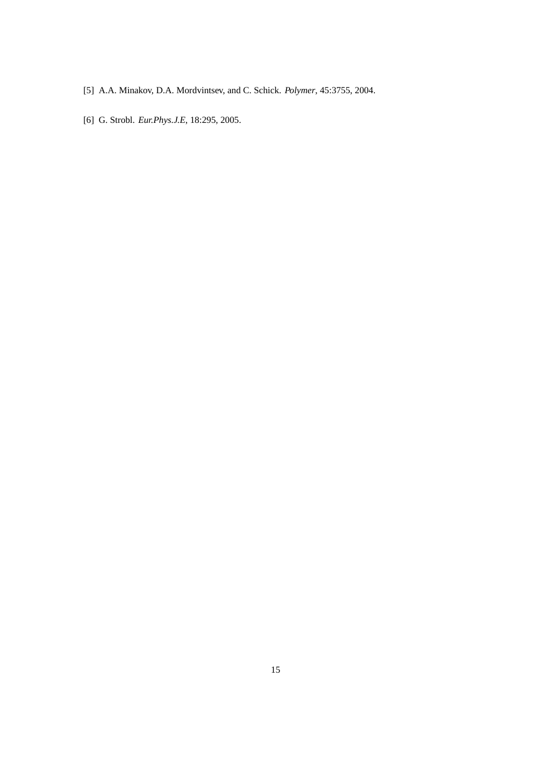- [5] A.A. Minakov, D.A. Mordvintsev, and C. Schick. *Polymer*, 45:3755, 2004.
- [6] G. Strobl. *Eur.Phys.J.E*, 18:295, 2005.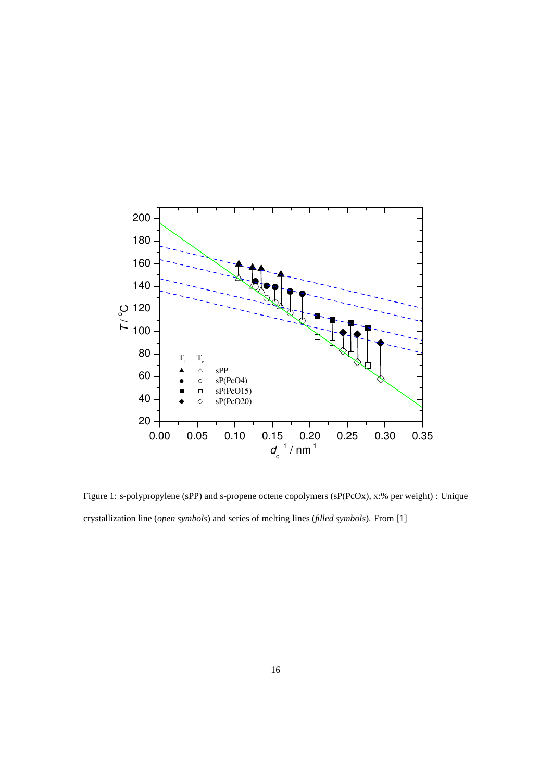

Figure 1: s-polypropylene (sPP) and s-propene octene copolymers (sP(PcOx), x:% per weight) : Unique crystallization line (*open symbols*) and series of melting lines (*filled symbols*). From [1]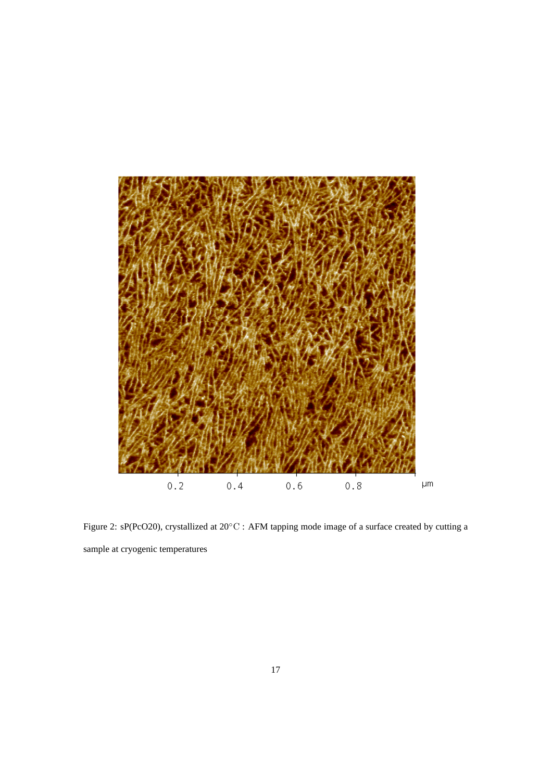

Figure 2: sP(PcO20), crystallized at 20◦C : AFM tapping mode image of a surface created by cutting a sample at cryogenic temperatures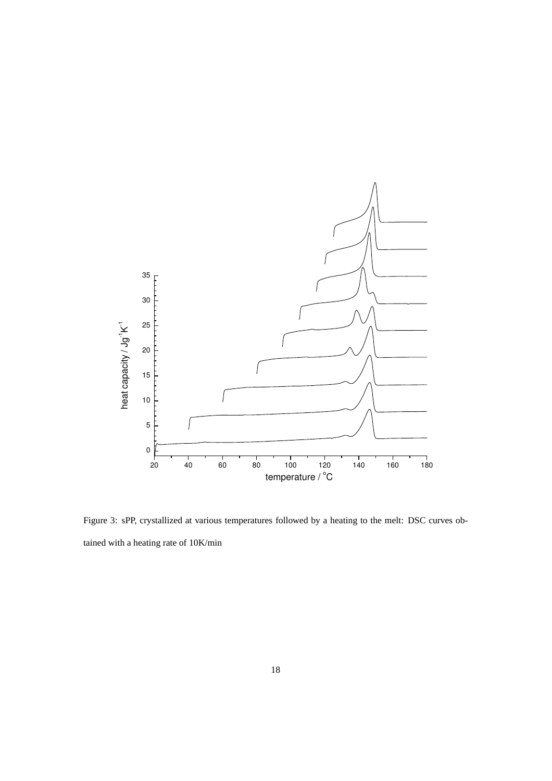

Figure 3: sPP, crystallized at various temperatures followed by a heating to the melt: DSC curves obtained with a heating rate of 10K/min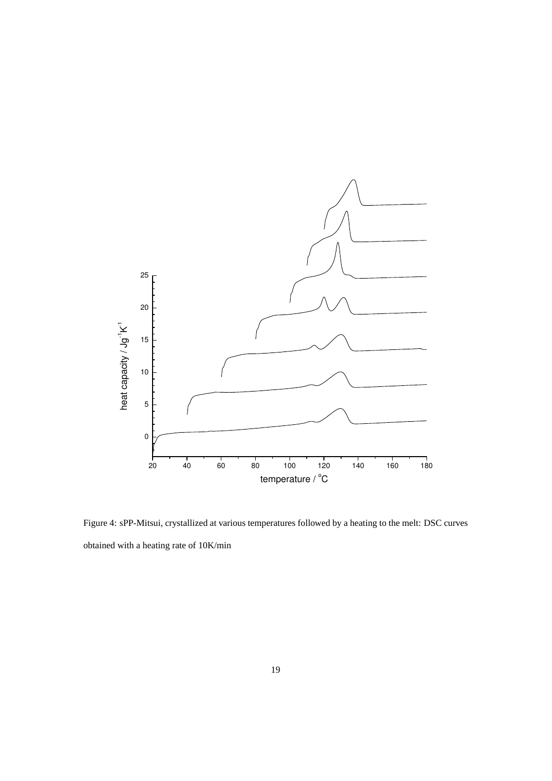

Figure 4: sPP-Mitsui, crystallized at various temperatures followed by a heating to the melt: DSC curves obtained with a heating rate of 10K/min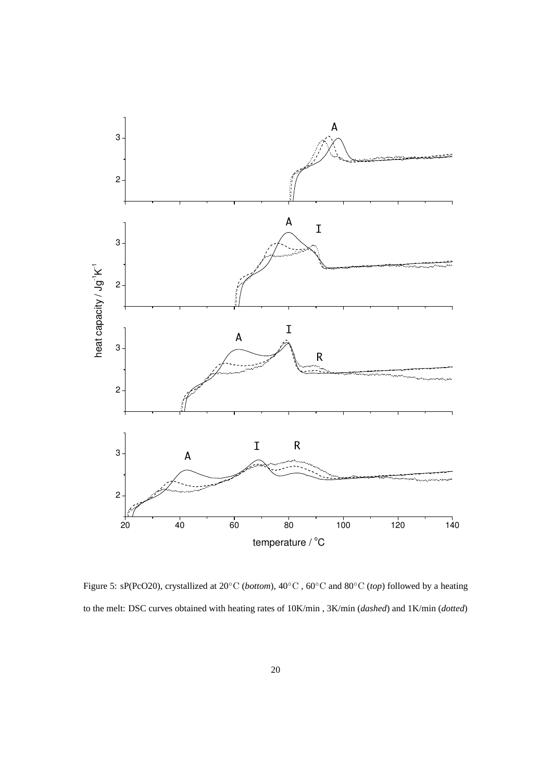

Figure 5: sP(PcO20), crystallized at 20◦C (*bottom*), 40◦C , 60◦C and 80◦C (*top*) followed by a heating to the melt: DSC curves obtained with heating rates of 10K/min , 3K/min (*dashed*) and 1K/min (*dotted*)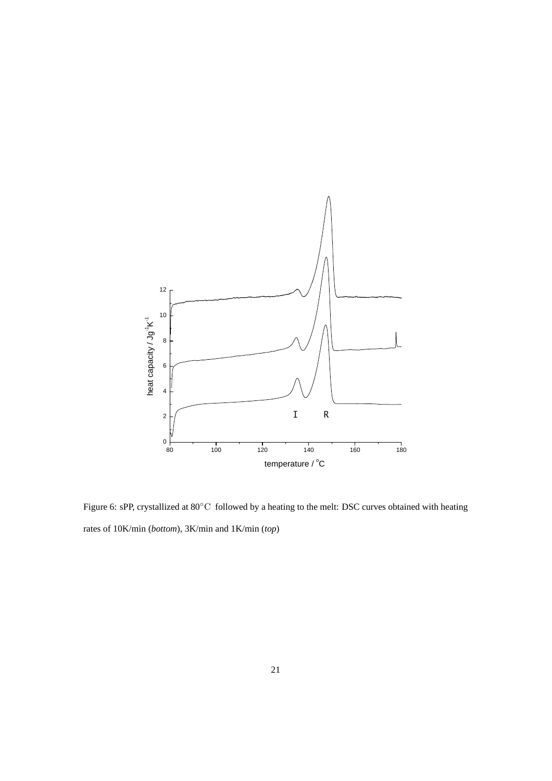

Figure 6: sPP, crystallized at 80◦C followed by a heating to the melt: DSC curves obtained with heating rates of 10K/min (*bottom*), 3K/min and 1K/min (*top*)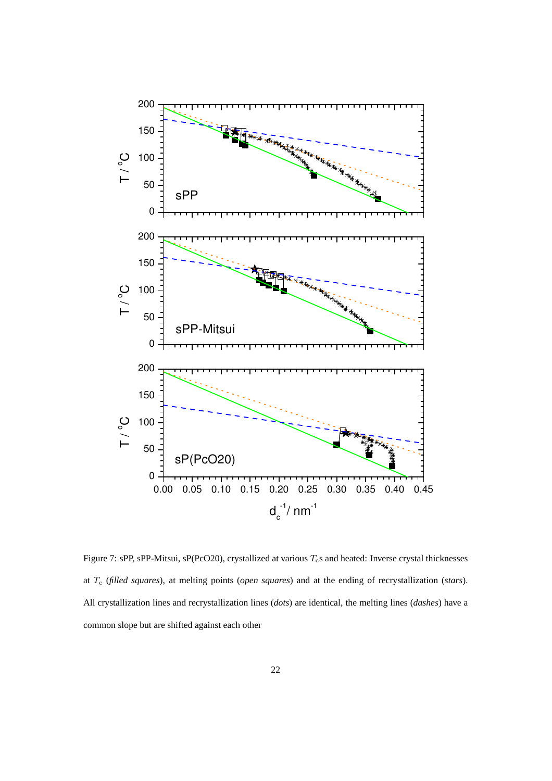

Figure 7: sPP, sPP-Mitsui, sP(PcO20), crystallized at various  $T_c$ s and heated: Inverse crystal thicknesses at T<sup>c</sup> (*filled squares*), at melting points (*open squares*) and at the ending of recrystallization (*stars*). All crystallization lines and recrystallization lines (*dots*) are identical, the melting lines (*dashes*) have a common slope but are shifted against each other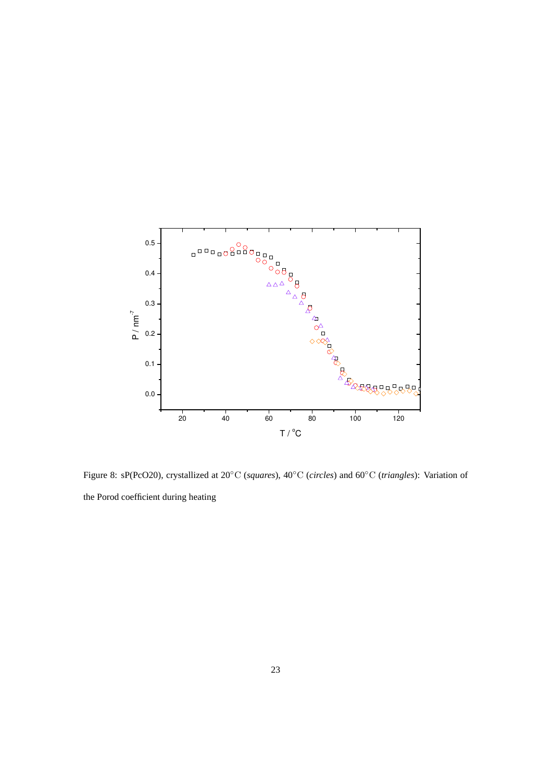

Figure 8: sP(PcO20), crystallized at 20◦C (*squares*), 40◦C (*circles*) and 60◦C (*triangles*): Variation of the Porod coefficient during heating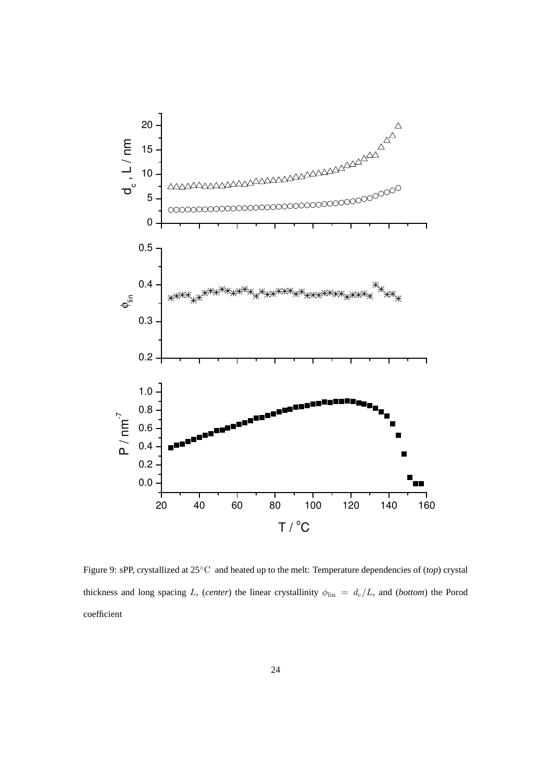

Figure 9: sPP, crystallized at 25◦C and heated up to the melt: Temperature dependencies of (*top*) crystal thickness and long spacing L, (*center*) the linear crystallinity  $\phi_{lin} = d_c/L$ , and (*bottom*) the Porod coefficient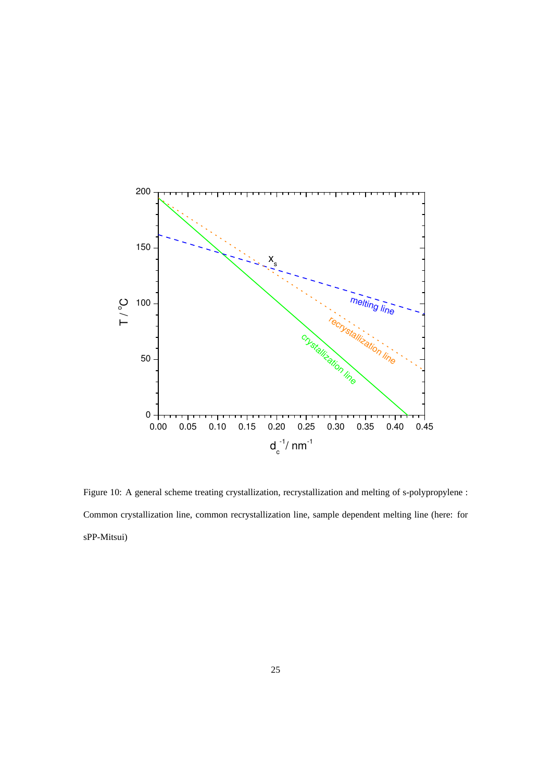

Figure 10: A general scheme treating crystallization, recrystallization and melting of s-polypropylene : Common crystallization line, common recrystallization line, sample dependent melting line (here: for sPP-Mitsui)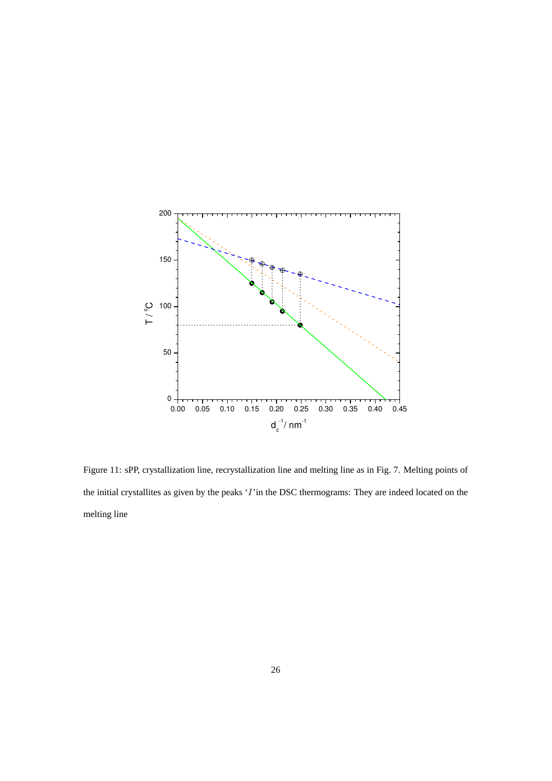

Figure 11: sPP, crystallization line, recrystallization line and melting line as in Fig. 7. Melting points of the initial crystallites as given by the peaks 'I'in the DSC thermograms: They are indeed located on the melting line